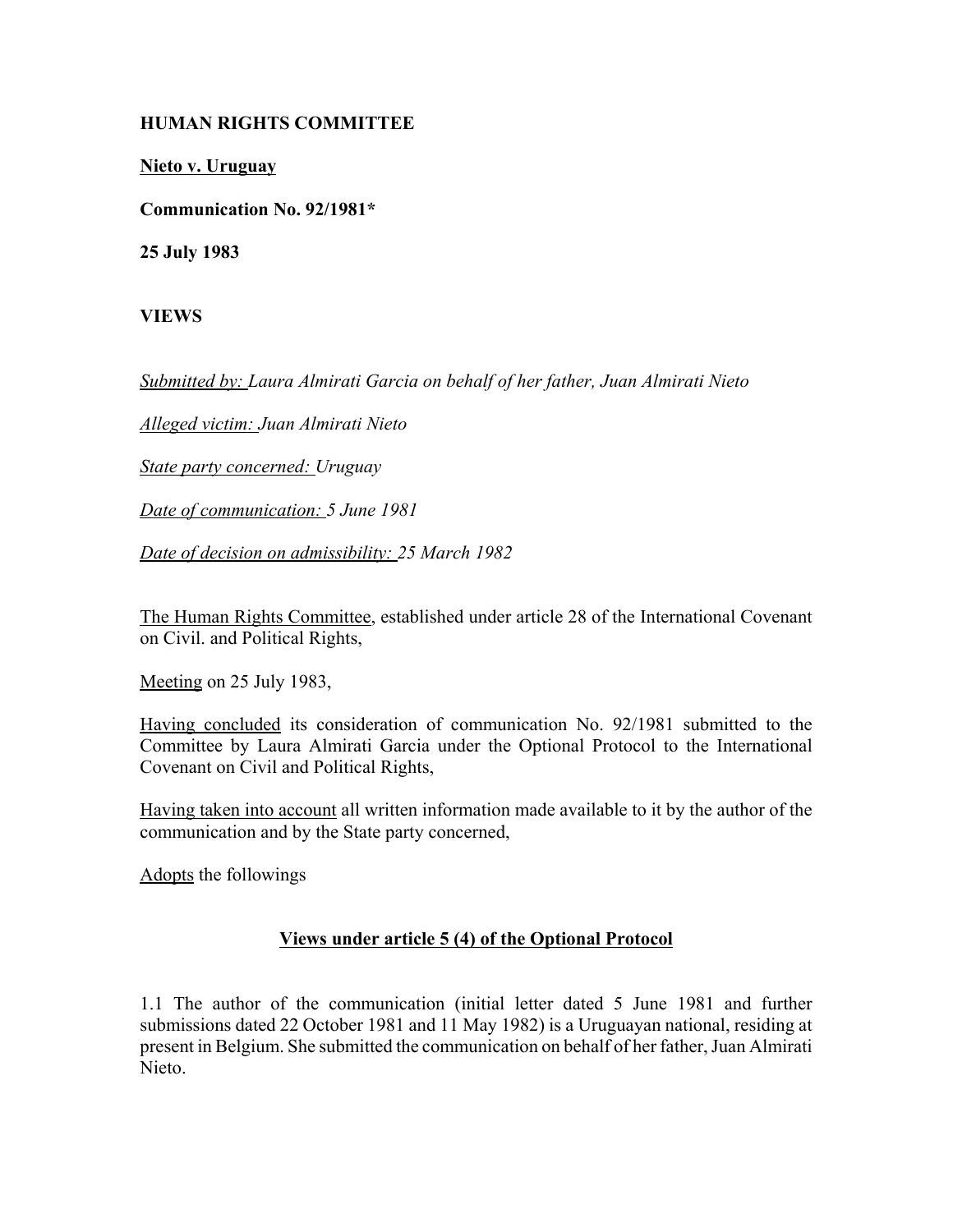## **HUMAN RIGHTS COMMITTEE**

**Nieto v. Uruguay**

**Communication No. 92/1981\***

**25 July 1983**

**VIEWS**

*Submitted by: Laura Almirati Garcia on behalf of her father, Juan Almirati Nieto* 

*Alleged victim: Juan Almirati Nieto* 

*State party concerned: Uruguay* 

*Date of communication: 5 June 1981* 

*Date of decision on admissibility: 25 March 1982* 

The Human Rights Committee, established under article 28 of the International Covenant on Civil. and Political Rights,

Meeting on 25 July 1983,

Having concluded its consideration of communication No. 92/1981 submitted to the Committee by Laura Almirati Garcia under the Optional Protocol to the International Covenant on Civil and Political Rights,

Having taken into account all written information made available to it by the author of the communication and by the State party concerned,

Adopts the followings

## **Views under article 5 (4) of the Optional Protocol**

1.1 The author of the communication (initial letter dated 5 June 1981 and further submissions dated 22 October 1981 and 11 May 1982) is a Uruguayan national, residing at present in Belgium. She submitted the communication on behalf of her father, Juan Almirati Nieto.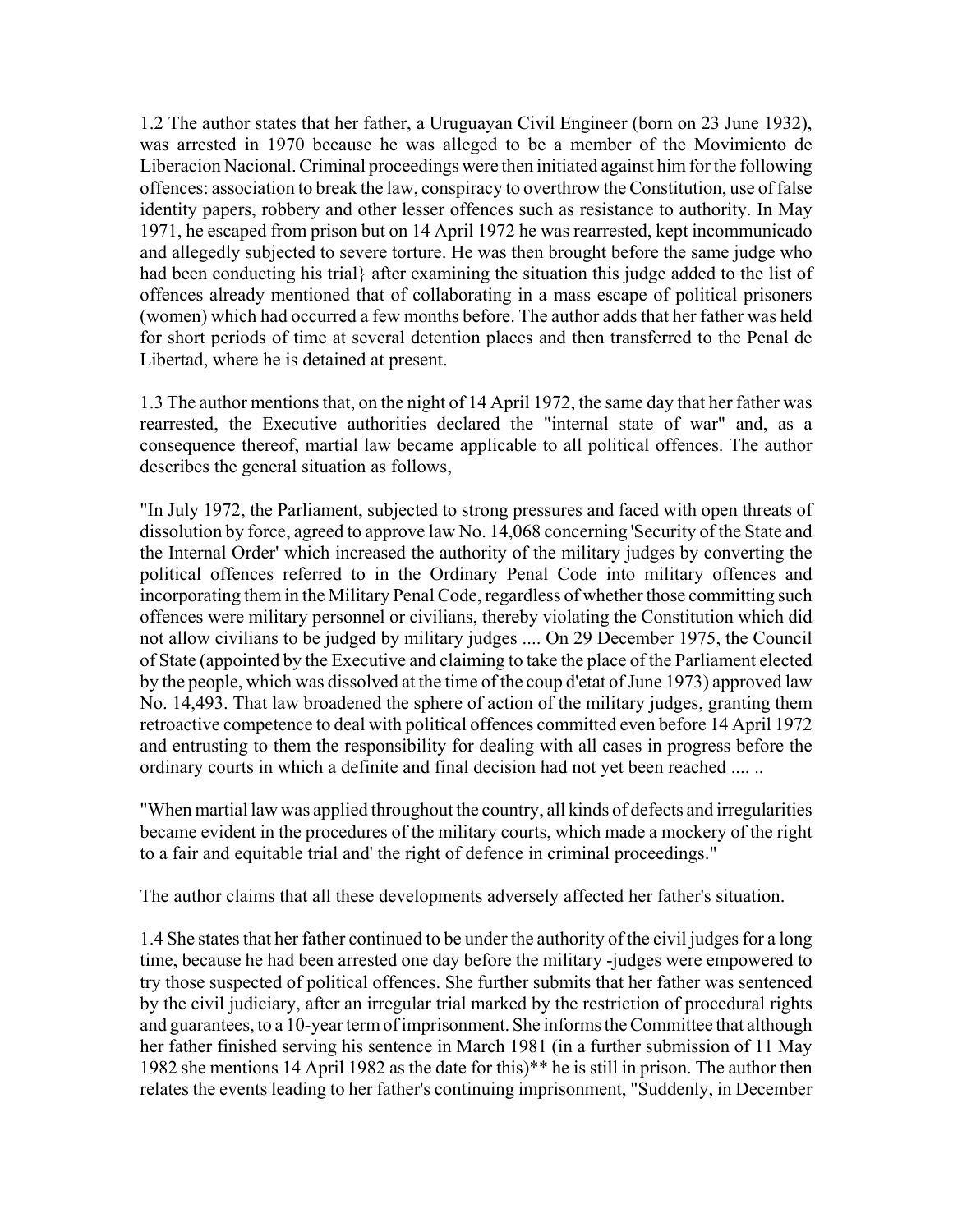1.2 The author states that her father, a Uruguayan Civil Engineer (born on 23 June 1932), was arrested in 1970 because he was alleged to be a member of the Movimiento de Liberacion Nacional. Criminal proceedings were then initiated against him for the following offences: association to break the law, conspiracy to overthrow the Constitution, use of false identity papers, robbery and other lesser offences such as resistance to authority. In May 1971, he escaped from prison but on 14 April 1972 he was rearrested, kept incommunicado and allegedly subjected to severe torture. He was then brought before the same judge who had been conducting his trial} after examining the situation this judge added to the list of offences already mentioned that of collaborating in a mass escape of political prisoners (women) which had occurred a few months before. The author adds that her father was held for short periods of time at several detention places and then transferred to the Penal de Libertad, where he is detained at present.

1.3 The author mentions that, on the night of 14 April 1972, the same day that her father was rearrested, the Executive authorities declared the "internal state of war" and, as a consequence thereof, martial law became applicable to all political offences. The author describes the general situation as follows,

"In July 1972, the Parliament, subjected to strong pressures and faced with open threats of dissolution by force, agreed to approve law No. 14,068 concerning 'Security of the State and the Internal Order' which increased the authority of the military judges by converting the political offences referred to in the Ordinary Penal Code into military offences and incorporating them in the Military Penal Code, regardless of whether those committing such offences were military personnel or civilians, thereby violating the Constitution which did not allow civilians to be judged by military judges .... On 29 December 1975, the Council of State (appointed by the Executive and claiming to take the place of the Parliament elected by the people, which was dissolved at the time of the coup d'etat of June 1973) approved law No. 14,493. That law broadened the sphere of action of the military judges, granting them retroactive competence to deal with political offences committed even before 14 April 1972 and entrusting to them the responsibility for dealing with all cases in progress before the ordinary courts in which a definite and final decision had not yet been reached .... ..

"When martial law was applied throughout the country, all kinds of defects and irregularities became evident in the procedures of the military courts, which made a mockery of the right to a fair and equitable trial and' the right of defence in criminal proceedings."

The author claims that all these developments adversely affected her father's situation.

1.4 She states that her father continued to be under the authority of the civil judges for a long time, because he had been arrested one day before the military -judges were empowered to try those suspected of political offences. She further submits that her father was sentenced by the civil judiciary, after an irregular trial marked by the restriction of procedural rights and guarantees, to a 10-year term of imprisonment. She informs the Committee that although her father finished serving his sentence in March 1981 (in a further submission of 11 May 1982 she mentions 14 April 1982 as the date for this)\*\* he is still in prison. The author then relates the events leading to her father's continuing imprisonment, "Suddenly, in December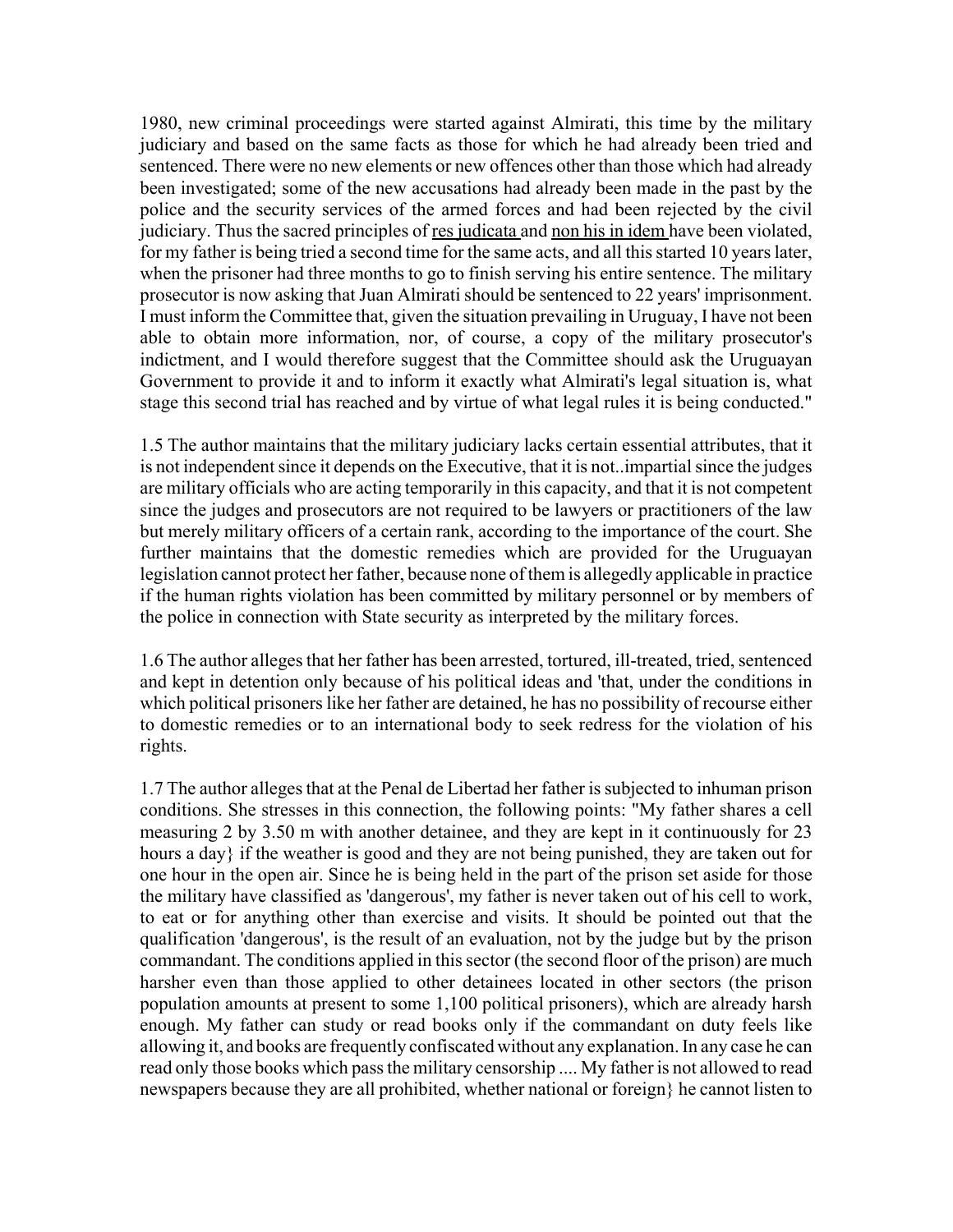1980, new criminal proceedings were started against Almirati, this time by the military judiciary and based on the same facts as those for which he had already been tried and sentenced. There were no new elements or new offences other than those which had already been investigated; some of the new accusations had already been made in the past by the police and the security services of the armed forces and had been rejected by the civil judiciary. Thus the sacred principles of res judicata and non his in idem have been violated, for my father is being tried a second time for the same acts, and all this started 10 years later, when the prisoner had three months to go to finish serving his entire sentence. The military prosecutor is now asking that Juan Almirati should be sentenced to 22 years' imprisonment. I must inform the Committee that, given the situation prevailing in Uruguay, I have not been able to obtain more information, nor, of course, a copy of the military prosecutor's indictment, and I would therefore suggest that the Committee should ask the Uruguayan Government to provide it and to inform it exactly what Almirati's legal situation is, what stage this second trial has reached and by virtue of what legal rules it is being conducted."

1.5 The author maintains that the military judiciary lacks certain essential attributes, that it is not independent since it depends on the Executive, that it is not..impartial since the judges are military officials who are acting temporarily in this capacity, and that it is not competent since the judges and prosecutors are not required to be lawyers or practitioners of the law but merely military officers of a certain rank, according to the importance of the court. She further maintains that the domestic remedies which are provided for the Uruguayan legislation cannot protect her father, because none of them is allegedly applicable in practice if the human rights violation has been committed by military personnel or by members of the police in connection with State security as interpreted by the military forces.

1.6 The author alleges that her father has been arrested, tortured, ill-treated, tried, sentenced and kept in detention only because of his political ideas and 'that, under the conditions in which political prisoners like her father are detained, he has no possibility of recourse either to domestic remedies or to an international body to seek redress for the violation of his rights.

1.7 The author alleges that at the Penal de Libertad her father is subjected to inhuman prison conditions. She stresses in this connection, the following points: "My father shares a cell measuring 2 by 3.50 m with another detainee, and they are kept in it continuously for 23 hours a day} if the weather is good and they are not being punished, they are taken out for one hour in the open air. Since he is being held in the part of the prison set aside for those the military have classified as 'dangerous', my father is never taken out of his cell to work, to eat or for anything other than exercise and visits. It should be pointed out that the qualification 'dangerous', is the result of an evaluation, not by the judge but by the prison commandant. The conditions applied in this sector (the second floor of the prison) are much harsher even than those applied to other detainees located in other sectors (the prison population amounts at present to some 1,100 political prisoners), which are already harsh enough. My father can study or read books only if the commandant on duty feels like allowing it, and books are frequently confiscated without any explanation. In any case he can read only those books which pass the military censorship .... My father is not allowed to read newspapers because they are all prohibited, whether national or foreign} he cannot listen to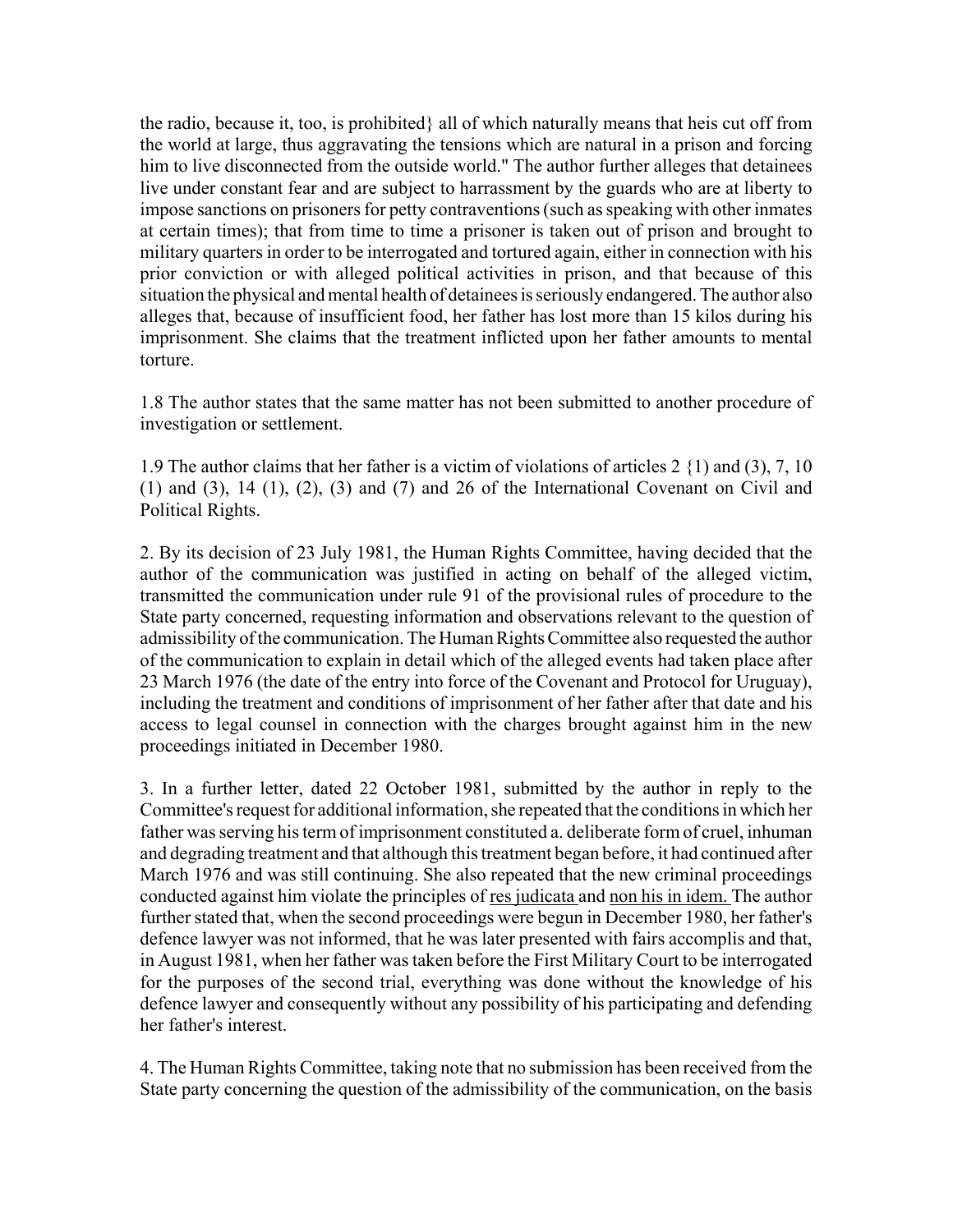the radio, because it, too, is prohibited} all of which naturally means that heis cut off from the world at large, thus aggravating the tensions which are natural in a prison and forcing him to live disconnected from the outside world." The author further alleges that detainees live under constant fear and are subject to harrassment by the guards who are at liberty to impose sanctions on prisoners for petty contraventions (such as speaking with other inmates at certain times); that from time to time a prisoner is taken out of prison and brought to military quarters in order to be interrogated and tortured again, either in connection with his prior conviction or with alleged political activities in prison, and that because of this situation the physical and mental health of detainees is seriously endangered. The author also alleges that, because of insufficient food, her father has lost more than 15 kilos during his imprisonment. She claims that the treatment inflicted upon her father amounts to mental torture.

1.8 The author states that the same matter has not been submitted to another procedure of investigation or settlement.

1.9 The author claims that her father is a victim of violations of articles 2 {1) and (3), 7, 10  $(1)$  and  $(3)$ ,  $14$   $(1)$ ,  $(2)$ ,  $(3)$  and  $(7)$  and  $26$  of the International Covenant on Civil and Political Rights.

2. By its decision of 23 July 1981, the Human Rights Committee, having decided that the author of the communication was justified in acting on behalf of the alleged victim, transmitted the communication under rule 91 of the provisional rules of procedure to the State party concerned, requesting information and observations relevant to the question of admissibility of the communication. The Human Rights Committee also requested the author of the communication to explain in detail which of the alleged events had taken place after 23 March 1976 (the date of the entry into force of the Covenant and Protocol for Uruguay), including the treatment and conditions of imprisonment of her father after that date and his access to legal counsel in connection with the charges brought against him in the new proceedings initiated in December 1980.

3. In a further letter, dated 22 October 1981, submitted by the author in reply to the Committee's request for additional information, she repeated that the conditions in which her father was serving his term of imprisonment constituted a. deliberate form of cruel, inhuman and degrading treatment and that although this treatment began before, it had continued after March 1976 and was still continuing. She also repeated that the new criminal proceedings conducted against him violate the principles of res judicata and non his in idem. The author further stated that, when the second proceedings were begun in December 1980, her father's defence lawyer was not informed, that he was later presented with fairs accomplis and that, in August 1981, when her father was taken before the First Military Court to be interrogated for the purposes of the second trial, everything was done without the knowledge of his defence lawyer and consequently without any possibility of his participating and defending her father's interest.

4. The Human Rights Committee, taking note that no submission has been received from the State party concerning the question of the admissibility of the communication, on the basis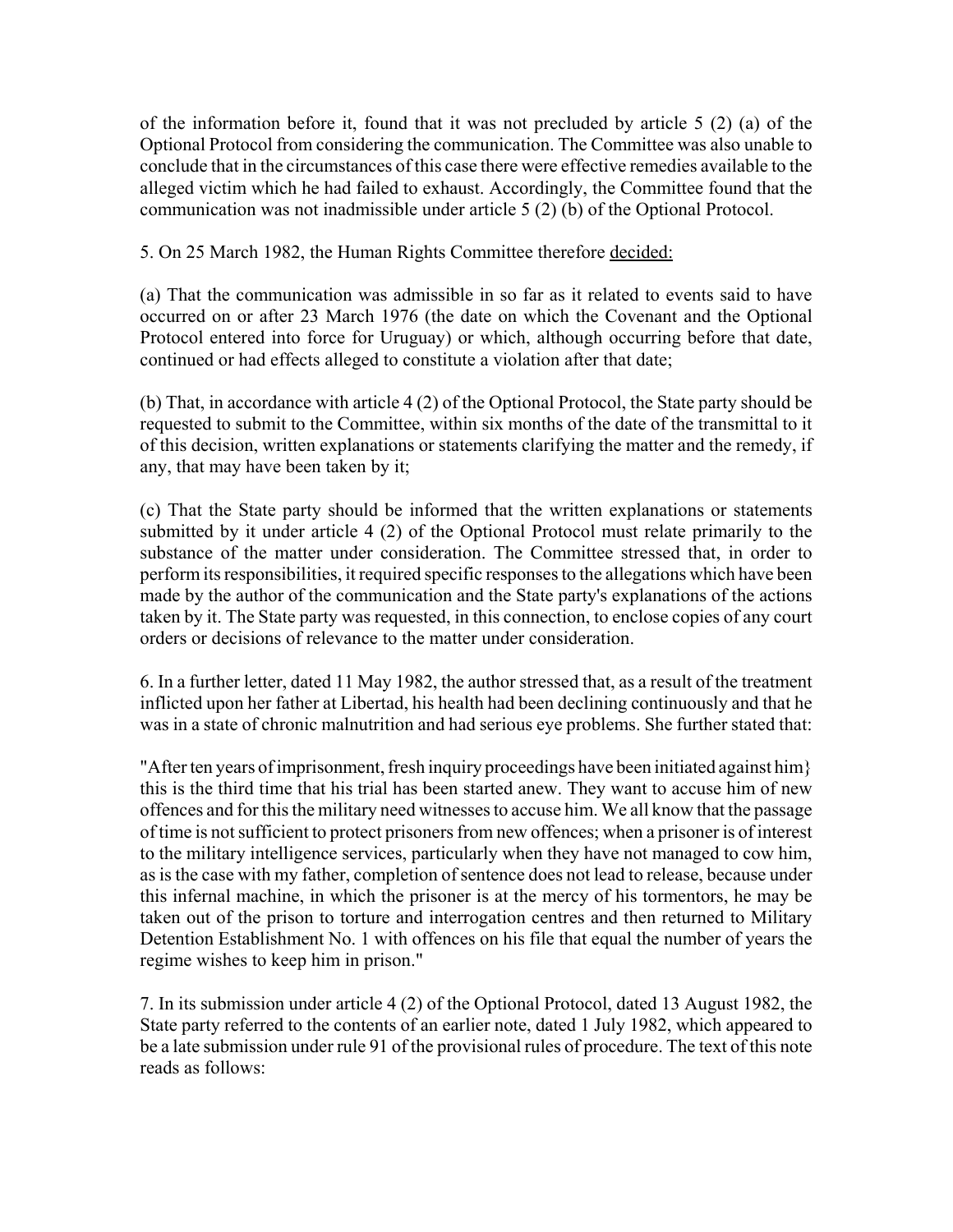of the information before it, found that it was not precluded by article 5 (2) (a) of the Optional Protocol from considering the communication. The Committee was also unable to conclude that in the circumstances of this case there were effective remedies available to the alleged victim which he had failed to exhaust. Accordingly, the Committee found that the communication was not inadmissible under article 5 (2) (b) of the Optional Protocol.

5. On 25 March 1982, the Human Rights Committee therefore decided:

(a) That the communication was admissible in so far as it related to events said to have occurred on or after 23 March 1976 (the date on which the Covenant and the Optional Protocol entered into force for Uruguay) or which, although occurring before that date, continued or had effects alleged to constitute a violation after that date;

(b) That, in accordance with article 4 (2) of the Optional Protocol, the State party should be requested to submit to the Committee, within six months of the date of the transmittal to it of this decision, written explanations or statements clarifying the matter and the remedy, if any, that may have been taken by it;

(c) That the State party should be informed that the written explanations or statements submitted by it under article 4 (2) of the Optional Protocol must relate primarily to the substance of the matter under consideration. The Committee stressed that, in order to perform its responsibilities, it required specific responses to the allegations which have been made by the author of the communication and the State party's explanations of the actions taken by it. The State party was requested, in this connection, to enclose copies of any court orders or decisions of relevance to the matter under consideration.

6. In a further letter, dated 11 May 1982, the author stressed that, as a result of the treatment inflicted upon her father at Libertad, his health had been declining continuously and that he was in a state of chronic malnutrition and had serious eye problems. She further stated that:

"After ten years of imprisonment, fresh inquiry proceedings have been initiated against him} this is the third time that his trial has been started anew. They want to accuse him of new offences and for this the military need witnesses to accuse him. We all know that the passage of time is not sufficient to protect prisoners from new offences; when a prisoner is of interest to the military intelligence services, particularly when they have not managed to cow him, as is the case with my father, completion of sentence does not lead to release, because under this infernal machine, in which the prisoner is at the mercy of his tormentors, he may be taken out of the prison to torture and interrogation centres and then returned to Military Detention Establishment No. 1 with offences on his file that equal the number of years the regime wishes to keep him in prison."

7. In its submission under article 4 (2) of the Optional Protocol, dated 13 August 1982, the State party referred to the contents of an earlier note, dated 1 July 1982, which appeared to be a late submission under rule 91 of the provisional rules of procedure. The text of this note reads as follows: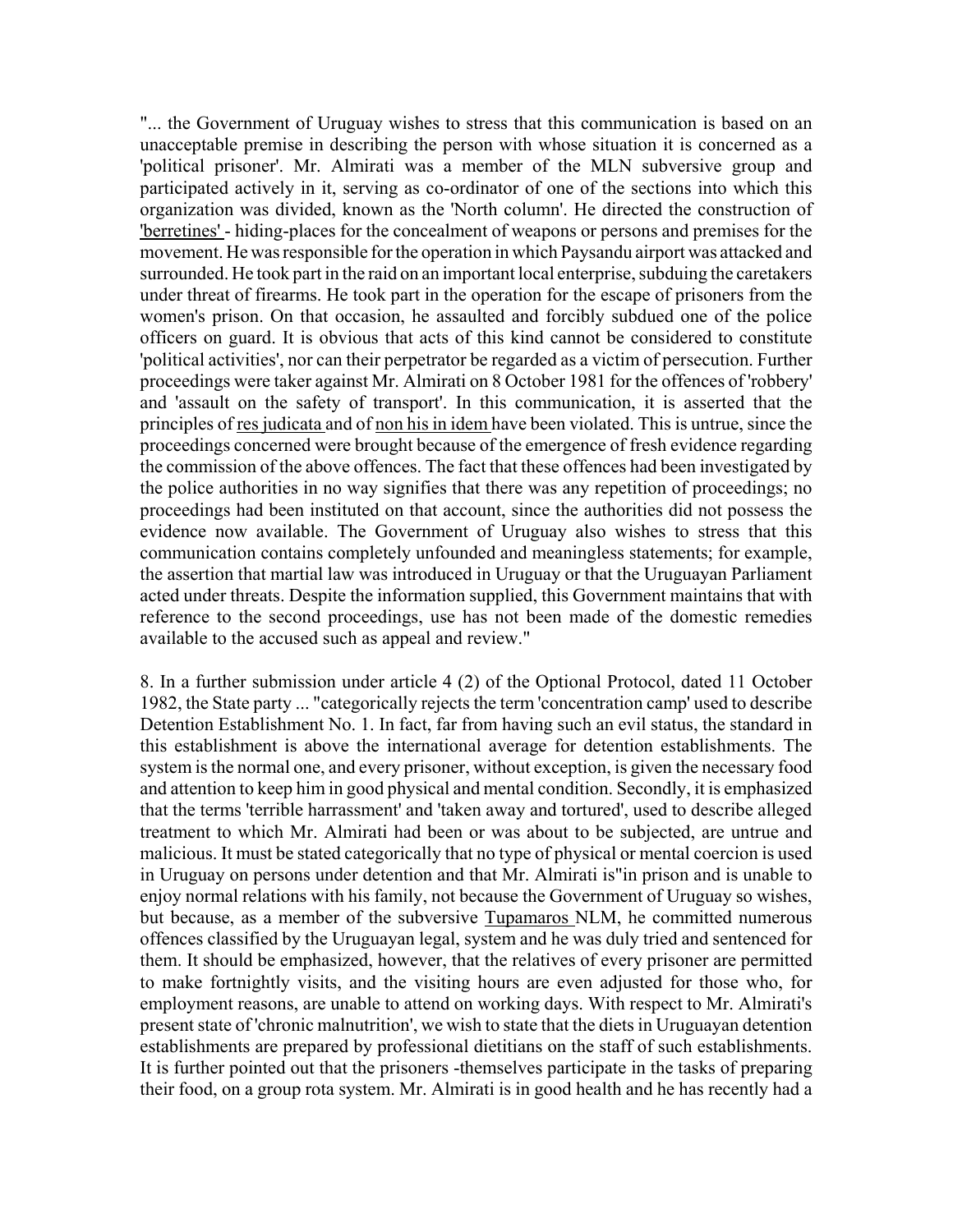"... the Government of Uruguay wishes to stress that this communication is based on an unacceptable premise in describing the person with whose situation it is concerned as a 'political prisoner'. Mr. Almirati was a member of the MLN subversive group and participated actively in it, serving as co-ordinator of one of the sections into which this organization was divided, known as the 'North column'. He directed the construction of 'berretines' - hiding-places for the concealment of weapons or persons and premises for the movement. He was responsible for the operation in which Paysandu airport was attacked and surrounded. He took part in the raid on an important local enterprise, subduing the caretakers under threat of firearms. He took part in the operation for the escape of prisoners from the women's prison. On that occasion, he assaulted and forcibly subdued one of the police officers on guard. It is obvious that acts of this kind cannot be considered to constitute 'political activities', nor can their perpetrator be regarded as a victim of persecution. Further proceedings were taker against Mr. Almirati on 8 October 1981 for the offences of 'robbery' and 'assault on the safety of transport'. In this communication, it is asserted that the principles of res judicata and of non his in idem have been violated. This is untrue, since the proceedings concerned were brought because of the emergence of fresh evidence regarding the commission of the above offences. The fact that these offences had been investigated by the police authorities in no way signifies that there was any repetition of proceedings; no proceedings had been instituted on that account, since the authorities did not possess the evidence now available. The Government of Uruguay also wishes to stress that this communication contains completely unfounded and meaningless statements; for example, the assertion that martial law was introduced in Uruguay or that the Uruguayan Parliament acted under threats. Despite the information supplied, this Government maintains that with reference to the second proceedings, use has not been made of the domestic remedies available to the accused such as appeal and review."

8. In a further submission under article 4 (2) of the Optional Protocol, dated 11 October 1982, the State party ... "categorically rejects the term 'concentration camp' used to describe Detention Establishment No. 1. In fact, far from having such an evil status, the standard in this establishment is above the international average for detention establishments. The system is the normal one, and every prisoner, without exception, is given the necessary food and attention to keep him in good physical and mental condition. Secondly, it is emphasized that the terms 'terrible harrassment' and 'taken away and tortured', used to describe alleged treatment to which Mr. Almirati had been or was about to be subjected, are untrue and malicious. It must be stated categorically that no type of physical or mental coercion is used in Uruguay on persons under detention and that Mr. Almirati is"in prison and is unable to enjoy normal relations with his family, not because the Government of Uruguay so wishes, but because, as a member of the subversive Tupamaros NLM, he committed numerous offences classified by the Uruguayan legal, system and he was duly tried and sentenced for them. It should be emphasized, however, that the relatives of every prisoner are permitted to make fortnightly visits, and the visiting hours are even adjusted for those who, for employment reasons, are unable to attend on working days. With respect to Mr. Almirati's present state of 'chronic malnutrition', we wish to state that the diets in Uruguayan detention establishments are prepared by professional dietitians on the staff of such establishments. It is further pointed out that the prisoners -themselves participate in the tasks of preparing their food, on a group rota system. Mr. Almirati is in good health and he has recently had a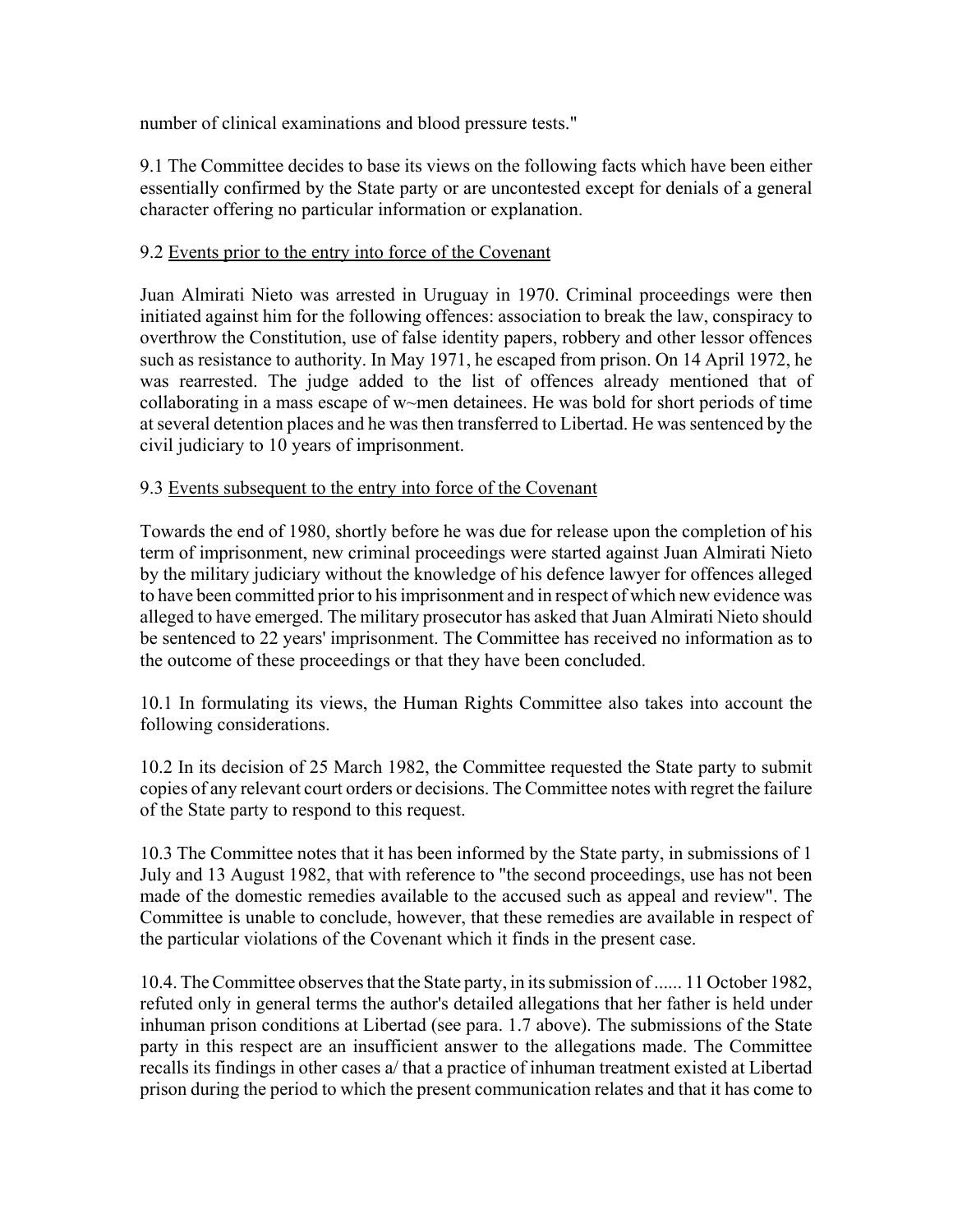number of clinical examinations and blood pressure tests."

9.1 The Committee decides to base its views on the following facts which have been either essentially confirmed by the State party or are uncontested except for denials of a general character offering no particular information or explanation.

## 9.2 Events prior to the entry into force of the Covenant

Juan Almirati Nieto was arrested in Uruguay in 1970. Criminal proceedings were then initiated against him for the following offences: association to break the law, conspiracy to overthrow the Constitution, use of false identity papers, robbery and other lessor offences such as resistance to authority. In May 1971, he escaped from prison. On 14 April 1972, he was rearrested. The judge added to the list of offences already mentioned that of collaborating in a mass escape of w~men detainees. He was bold for short periods of time at several detention places and he was then transferred to Libertad. He was sentenced by the civil judiciary to 10 years of imprisonment.

## 9.3 Events subsequent to the entry into force of the Covenant

Towards the end of 1980, shortly before he was due for release upon the completion of his term of imprisonment, new criminal proceedings were started against Juan Almirati Nieto by the military judiciary without the knowledge of his defence lawyer for offences alleged to have been committed prior to his imprisonment and in respect of which new evidence was alleged to have emerged. The military prosecutor has asked that Juan Almirati Nieto should be sentenced to 22 years' imprisonment. The Committee has received no information as to the outcome of these proceedings or that they have been concluded.

10.1 In formulating its views, the Human Rights Committee also takes into account the following considerations.

10.2 In its decision of 25 March 1982, the Committee requested the State party to submit copies of any relevant court orders or decisions. The Committee notes with regret the failure of the State party to respond to this request.

10.3 The Committee notes that it has been informed by the State party, in submissions of 1 July and 13 August 1982, that with reference to "the second proceedings, use has not been made of the domestic remedies available to the accused such as appeal and review". The Committee is unable to conclude, however, that these remedies are available in respect of the particular violations of the Covenant which it finds in the present case.

10.4. The Committee observes that the State party, in its submission of ...... 11 October 1982, refuted only in general terms the author's detailed allegations that her father is held under inhuman prison conditions at Libertad (see para. 1.7 above). The submissions of the State party in this respect are an insufficient answer to the allegations made. The Committee recalls its findings in other cases a/ that a practice of inhuman treatment existed at Libertad prison during the period to which the present communication relates and that it has come to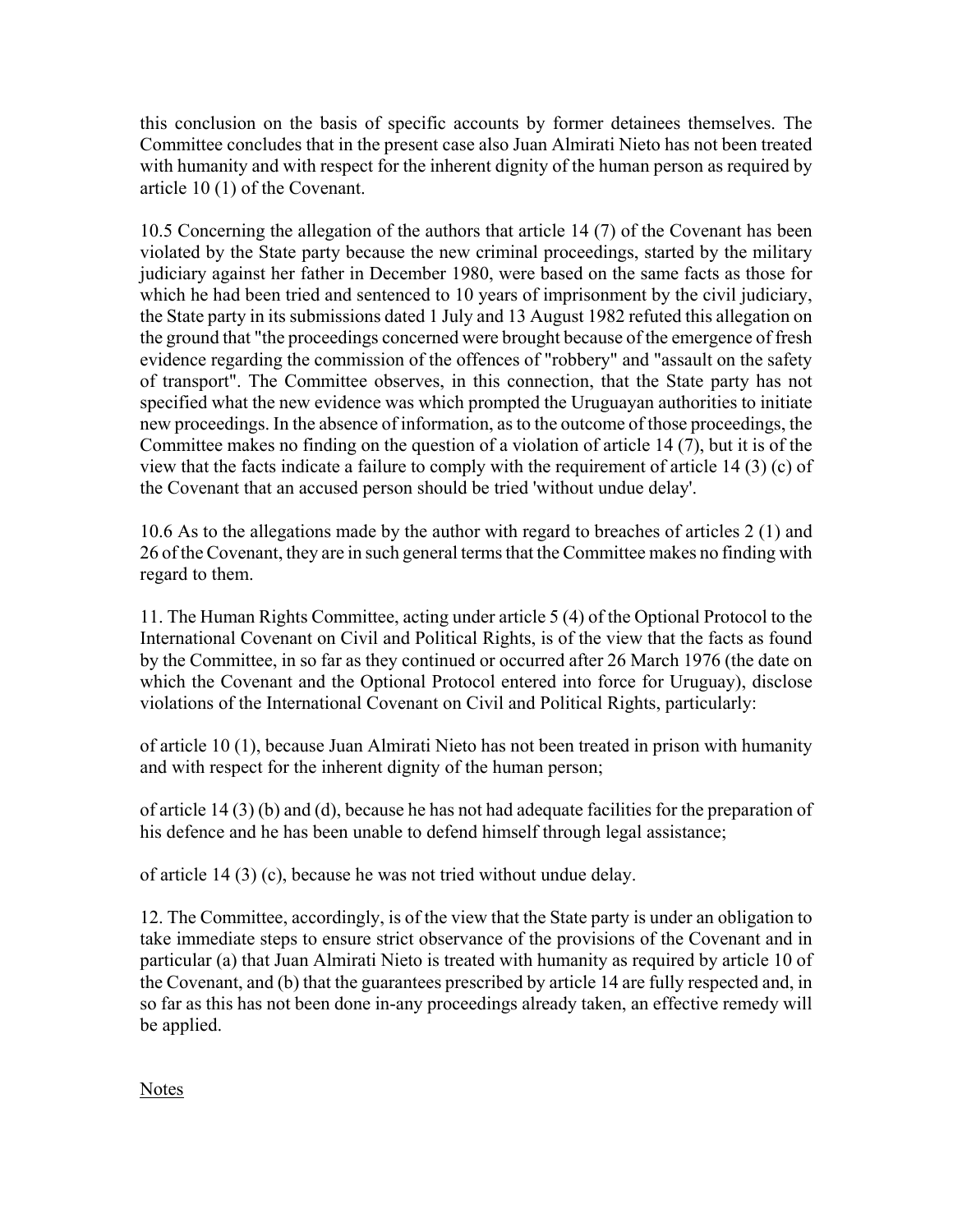this conclusion on the basis of specific accounts by former detainees themselves. The Committee concludes that in the present case also Juan Almirati Nieto has not been treated with humanity and with respect for the inherent dignity of the human person as required by article 10 (1) of the Covenant.

10.5 Concerning the allegation of the authors that article 14 (7) of the Covenant has been violated by the State party because the new criminal proceedings, started by the military judiciary against her father in December 1980, were based on the same facts as those for which he had been tried and sentenced to 10 years of imprisonment by the civil judiciary, the State party in its submissions dated 1 July and 13 August 1982 refuted this allegation on the ground that "the proceedings concerned were brought because of the emergence of fresh evidence regarding the commission of the offences of "robbery" and "assault on the safety of transport". The Committee observes, in this connection, that the State party has not specified what the new evidence was which prompted the Uruguayan authorities to initiate new proceedings. In the absence of information, as to the outcome of those proceedings, the Committee makes no finding on the question of a violation of article 14 (7), but it is of the view that the facts indicate a failure to comply with the requirement of article 14 (3) (c) of the Covenant that an accused person should be tried 'without undue delay'.

10.6 As to the allegations made by the author with regard to breaches of articles 2 (1) and 26 of the Covenant, they are in such general terms that the Committee makes no finding with regard to them.

11. The Human Rights Committee, acting under article 5 (4) of the Optional Protocol to the International Covenant on Civil and Political Rights, is of the view that the facts as found by the Committee, in so far as they continued or occurred after 26 March 1976 (the date on which the Covenant and the Optional Protocol entered into force for Uruguay), disclose violations of the International Covenant on Civil and Political Rights, particularly:

of article 10 (1), because Juan Almirati Nieto has not been treated in prison with humanity and with respect for the inherent dignity of the human person;

of article 14 (3) (b) and (d), because he has not had adequate facilities for the preparation of his defence and he has been unable to defend himself through legal assistance;

of article 14 (3) (c), because he was not tried without undue delay.

12. The Committee, accordingly, is of the view that the State party is under an obligation to take immediate steps to ensure strict observance of the provisions of the Covenant and in particular (a) that Juan Almirati Nieto is treated with humanity as required by article 10 of the Covenant, and (b) that the guarantees prescribed by article 14 are fully respected and, in so far as this has not been done in-any proceedings already taken, an effective remedy will be applied.

**Notes**